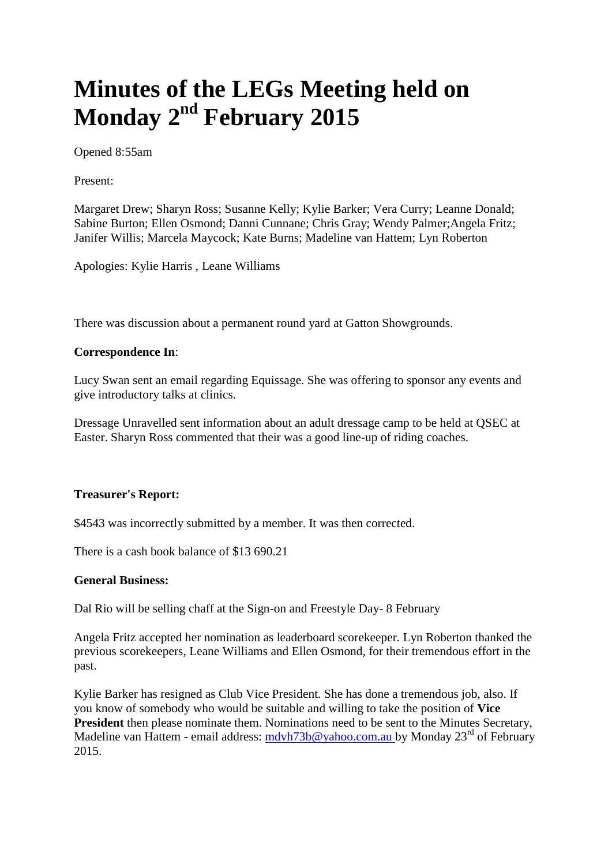## **Minutes of the LEGs Meeting held on Monday 2nd February 2015**

Opened 8:55am

Present:

Margaret Drew; Sharyn Ross; Susanne Kelly; Kylie Barker; Vera Curry; Leanne Donald; Sabine Burton; Ellen Osmond; Danni Cunnane; Chris Gray; Wendy Palmer;Angela Fritz; Janifer Willis; Marcela Maycock; Kate Burns; Madeline van Hattem; Lyn Roberton

Apologies: Kylie Harris , Leane Williams

There was discussion about a permanent round yard at Gatton Showgrounds.

## **Correspondence In**:

Lucy Swan sent an email regarding Equissage. She was offering to sponsor any events and give introductory talks at clinics.

Dressage Unravelled sent information about an adult dressage camp to be held at QSEC at Easter. Sharyn Ross commented that their was a good line-up of riding coaches.

## **Treasurer's Report:**

\$4543 was incorrectly submitted by a member. It was then corrected.

There is a cash book balance of \$13 690.21

## **General Business:**

Dal Rio will be selling chaff at the Sign-on and Freestyle Day- 8 February

Angela Fritz accepted her nomination as leaderboard scorekeeper. Lyn Roberton thanked the previous scorekeepers, Leane Williams and Ellen Osmond, for their tremendous effort in the past.

Kylie Barker has resigned as Club Vice President. She has done a tremendous job, also. If you know of somebody who would be suitable and willing to take the position of **Vice President** then please nominate them. Nominations need to be sent to the Minutes Secretary, Madeline van Hattem - email address: [mdvh73b@yahoo.com.au](mailto:mdvh73b@yahoo.com.au) by Monday 23<sup>rd</sup> of February 2015.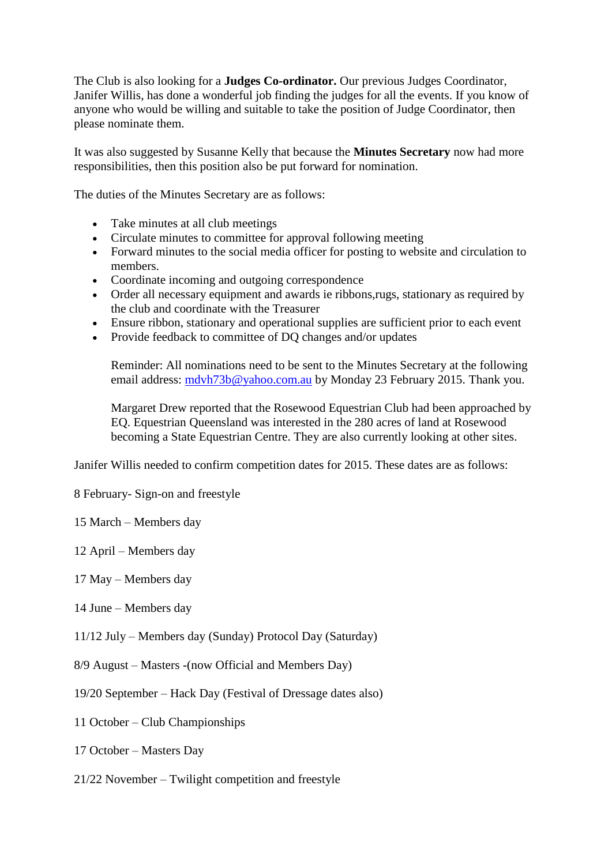The Club is also looking for a **Judges Co-ordinator.** Our previous Judges Coordinator, Janifer Willis, has done a wonderful job finding the judges for all the events. If you know of anyone who would be willing and suitable to take the position of Judge Coordinator, then please nominate them.

It was also suggested by Susanne Kelly that because the **Minutes Secretary** now had more responsibilities, then this position also be put forward for nomination.

The duties of the Minutes Secretary are as follows:

- Take minutes at all club meetings
- Circulate minutes to committee for approval following meeting
- Forward minutes to the social media officer for posting to website and circulation to members.
- Coordinate incoming and outgoing correspondence
- Order all necessary equipment and awards ie ribbons,rugs, stationary as required by the club and coordinate with the Treasurer
- Ensure ribbon, stationary and operational supplies are sufficient prior to each event
- Provide feedback to committee of DQ changes and/or updates

Reminder: All nominations need to be sent to the Minutes Secretary at the following email address: [mdvh73b@yahoo.com.au](mailto:mdvh73b@yahoo.com.au) by Monday 23 February 2015. Thank you.

Margaret Drew reported that the Rosewood Equestrian Club had been approached by EQ. Equestrian Queensland was interested in the 280 acres of land at Rosewood becoming a State Equestrian Centre. They are also currently looking at other sites.

Janifer Willis needed to confirm competition dates for 2015. These dates are as follows:

- 8 February- Sign-on and freestyle
- 15 March Members day
- 12 April Members day
- 17 May Members day
- 14 June Members day
- 11/12 July Members day (Sunday) Protocol Day (Saturday)
- 8/9 August Masters -(now Official and Members Day)
- 19/20 September Hack Day (Festival of Dressage dates also)
- 11 October Club Championships
- 17 October Masters Day
- 21/22 November Twilight competition and freestyle